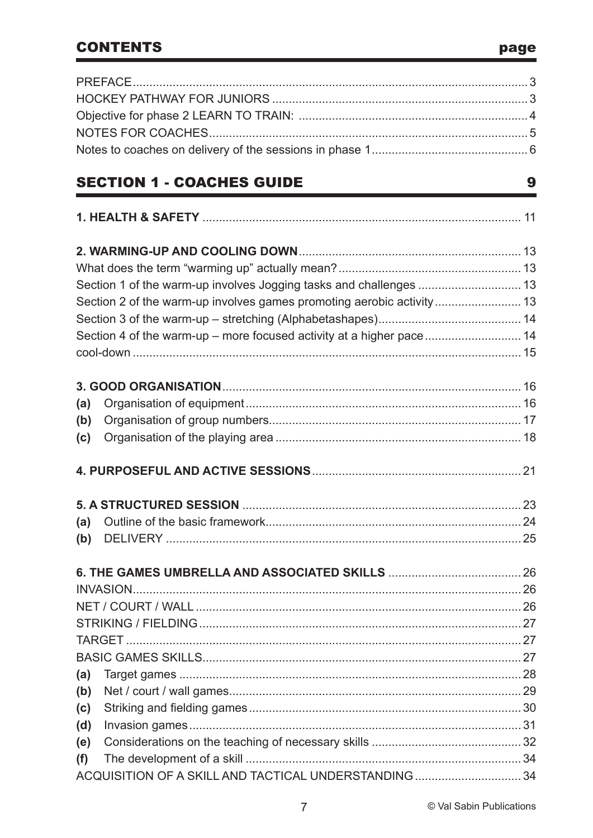### **CONTENTS**

|     | <b>SECTION 1 - COACHES GUIDE</b>                                     | 9 |
|-----|----------------------------------------------------------------------|---|
|     |                                                                      |   |
|     |                                                                      |   |
|     |                                                                      |   |
|     |                                                                      |   |
|     |                                                                      |   |
|     |                                                                      |   |
|     | Section 4 of the warm-up - more focused activity at a higher pace 14 |   |
|     |                                                                      |   |
|     |                                                                      |   |
| (a) |                                                                      |   |
| (b) |                                                                      |   |
| (c) |                                                                      |   |
|     |                                                                      |   |
|     |                                                                      |   |
| (a) |                                                                      |   |
| (b) |                                                                      |   |
|     |                                                                      |   |
|     |                                                                      |   |
|     |                                                                      |   |
|     |                                                                      |   |
|     |                                                                      |   |
|     |                                                                      |   |
| (a) |                                                                      |   |
| (b) |                                                                      |   |
| (c) |                                                                      |   |
| (d) |                                                                      |   |
| (e) |                                                                      |   |
| (f) |                                                                      |   |
|     | ACQUISITION OF A SKILL AND TACTICAL UNDERSTANDING  34                |   |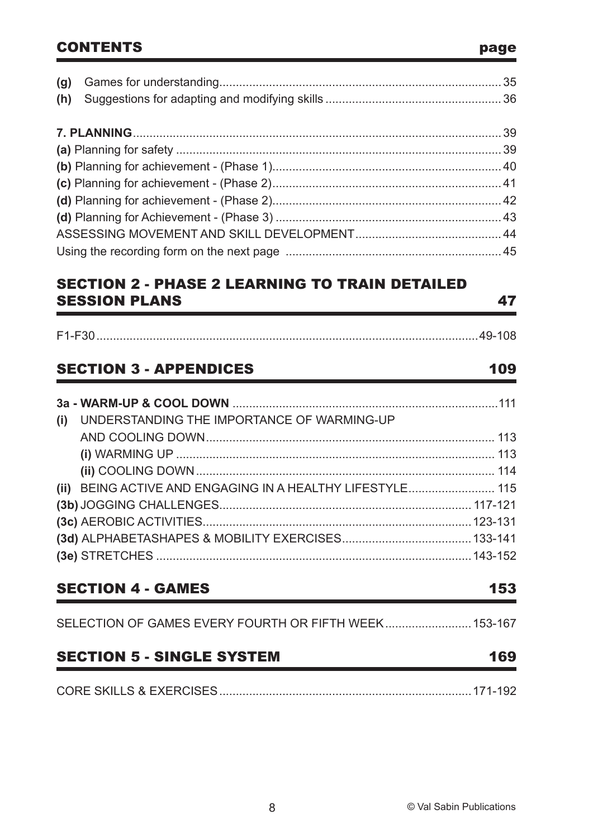### CONTENTS page

**(h)** Suggestions for adapting and modifying skills ..................................................... 36 **7. PLANNING**............................................................................................................... 39 **(a)** Planning for safety .................................................................................................. 39 **(b)** Planning for achievement - (Phase 1)..................................................................... 40 **(c)** Planning for achievement - (Phase 2)..................................................................... 41 **(d)** Planning for achievement - (Phase 2)..................................................................... 42 **(d)** Planning for Achievement - (Phase 3) .................................................................... 43 ASSESSING MOVEMENT AND SKILL DEVELOPMENT............................................ 44 Using the recording form on the next page ................................................................. 45

**(g)** Games for understanding..................................................................................... 35

### SECTION 2 - PHASE 2 LEARNING TO TRAIN DETAILED SESSION PLANS 47

## SECTION 3 - APPENDICES 109

| UNDERSTANDING THE IMPORTANCE OF WARMING-UP<br>(i)         |  |
|-----------------------------------------------------------|--|
|                                                           |  |
|                                                           |  |
|                                                           |  |
| (ii) BEING ACTIVE AND ENGAGING IN A HEALTHY LIFESTYLE 115 |  |
|                                                           |  |
|                                                           |  |
|                                                           |  |
|                                                           |  |

### SECTION 4 - GAMES 153

| SELECTION OF GAMES EVERY FOURTH OR FIFTH WEEK 153-167 |  |  |
|-------------------------------------------------------|--|--|
|                                                       |  |  |

### SECTION 5 - SINGLE SYSTEM 169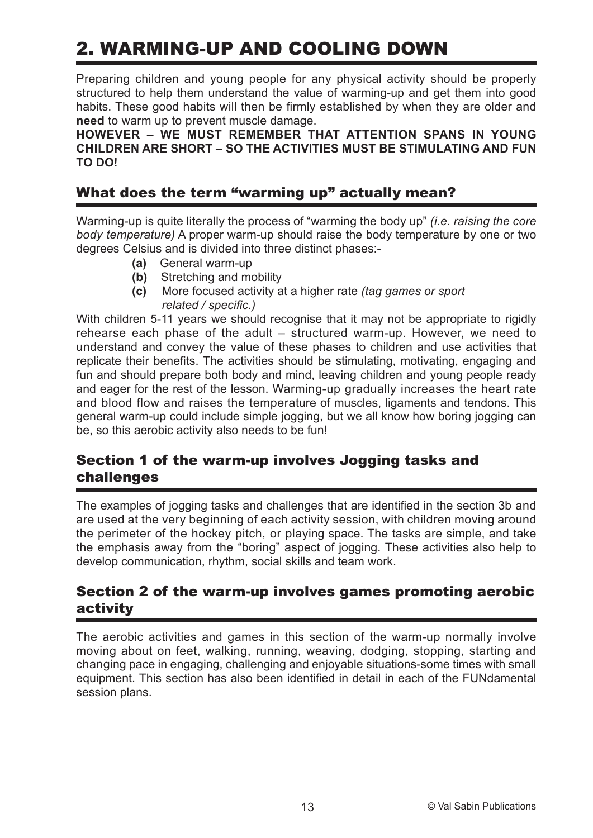# 2. WARMING-UP AND COOLING DOWN

Preparing children and young people for any physical activity should be properly structured to help them understand the value of warming-up and get them into good habits. These good habits will then be firmly established by when they are older and **need** to warm up to prevent muscle damage.

**HOWEVER – WE MUST REMEMBER THAT ATTENTION SPANS IN YOUNG CHILDREN ARE SHORT – SO THE ACTIVITIES MUST BE STIMULATING AND FUN TO DO!**

### What does the term "warming up" actually mean?

Warming-up is quite literally the process of "warming the body up" *(i.e. raising the core body temperature)* A proper warm-up should raise the body temperature by one or two degrees Celsius and is divided into three distinct phases:-

- **(a)** General warm-up
- **(b)** Stretching and mobility
- **(c)** More focused activity at a higher rate *(tag games or sport related / specific.)*

With children 5-11 years we should recognise that it may not be appropriate to rigidly rehearse each phase of the adult – structured warm-up. However, we need to understand and convey the value of these phases to children and use activities that replicate their benefits. The activities should be stimulating, motivating, engaging and fun and should prepare both body and mind, leaving children and young people ready and eager for the rest of the lesson. Warming-up gradually increases the heart rate and blood flow and raises the temperature of muscles, ligaments and tendons. This general warm-up could include simple jogging, but we all know how boring jogging can be, so this aerobic activity also needs to be fun!

### Section 1 of the warm-up involves Jogging tasks and challenges

The examples of jogging tasks and challenges that are identified in the section 3b and are used at the very beginning of each activity session, with children moving around the perimeter of the hockey pitch, or playing space. The tasks are simple, and take the emphasis away from the "boring" aspect of jogging. These activities also help to develop communication, rhythm, social skills and team work.

### Section 2 of the warm-up involves games promoting aerobic activity

The aerobic activities and games in this section of the warm-up normally involve moving about on feet, walking, running, weaving, dodging, stopping, starting and changing pace in engaging, challenging and enjoyable situations-some times with small equipment. This section has also been identified in detail in each of the FUNdamental session plans.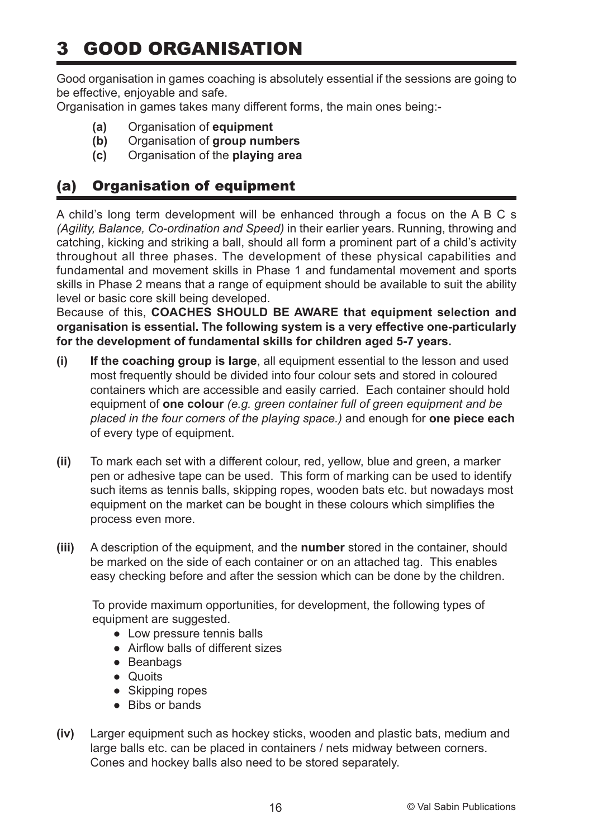# 3 GOOD ORGANISATION

Good organisation in games coaching is absolutely essential if the sessions are going to be effective, enjoyable and safe.

Organisation in games takes many different forms, the main ones being:-

- **(a)** Organisation of **equipment**
- **(b)** Organisation of **group numbers**
- **(c)** Organisation of the **playing area**

### (a) Organisation of equipment

A child's long term development will be enhanced through a focus on the A B C s *(Agility, Balance, Co-ordination and Speed)* in their earlier years. Running, throwing and catching, kicking and striking a ball, should all form a prominent part of a child's activity throughout all three phases. The development of these physical capabilities and fundamental and movement skills in Phase 1 and fundamental movement and sports skills in Phase 2 means that a range of equipment should be available to suit the ability level or basic core skill being developed.

Because of this, **COACHES SHOULD BE AWARE that equipment selection and organisation is essential. The following system is a very effective one-particularly for the development of fundamental skills for children aged 5-7 years.**

- **(i) If the coaching group is large**, all equipment essential to the lesson and used most frequently should be divided into four colour sets and stored in coloured containers which are accessible and easily carried. Each container should hold equipment of **one colour** *(e.g. green container full of green equipment and be placed in the four corners of the playing space.)* and enough for **one piece each** of every type of equipment.
- **(ii)** To mark each set with a different colour, red, yellow, blue and green, a marker pen or adhesive tape can be used. This form of marking can be used to identify such items as tennis balls, skipping ropes, wooden bats etc. but nowadays most equipment on the market can be bought in these colours which simplifies the process even more.
- **(iii)** A description of the equipment, and the **number** stored in the container, should be marked on the side of each container or on an attached tag. This enables easy checking before and after the session which can be done by the children.

To provide maximum opportunities, for development, the following types of equipment are suggested.

- Low pressure tennis balls
- Airflow balls of different sizes
- Beanbags
- Quoits
- Skipping ropes
- Bibs or bands
- **(iv)** Larger equipment such as hockey sticks, wooden and plastic bats, medium and large balls etc. can be placed in containers / nets midway between corners. Cones and hockey balls also need to be stored separately.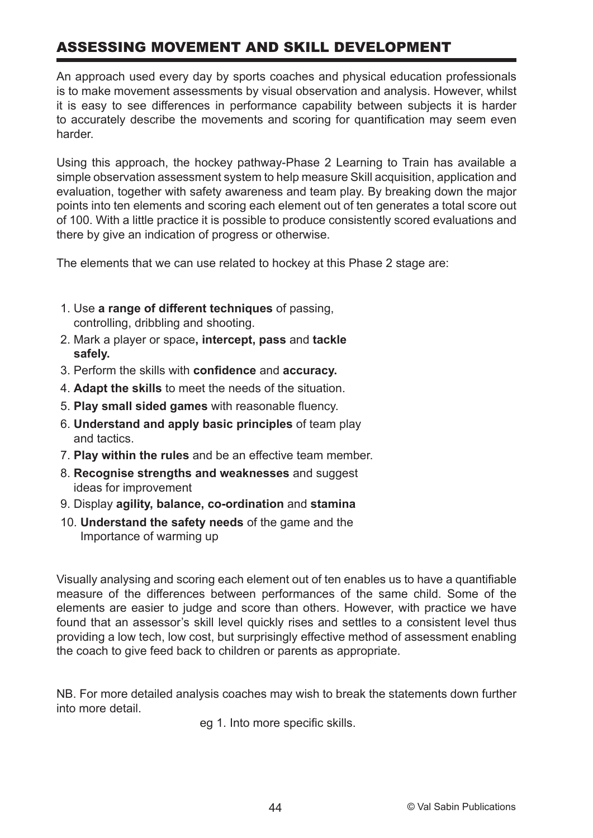### ASSESSING MOVEMENT AND SKILL DEVELOPMENT

An approach used every day by sports coaches and physical education professionals is to make movement assessments by visual observation and analysis. However, whilst it is easy to see differences in performance capability between subjects it is harder to accurately describe the movements and scoring for quantification may seem even harder.

Using this approach, the hockey pathway-Phase 2 Learning to Train has available a simple observation assessment system to help measure Skill acquisition, application and evaluation, together with safety awareness and team play. By breaking down the major points into ten elements and scoring each element out of ten generates a total score out of 100. With a little practice it is possible to produce consistently scored evaluations and there by give an indication of progress or otherwise.

The elements that we can use related to hockey at this Phase 2 stage are:

- 1. Use **a range of different techniques** of passing, controlling, dribbling and shooting.
- 2. Mark a player or space**, intercept, pass** and **tackle safely.**
- 3. Perform the skills with **confidence** and **accuracy.**
- 4. **Adapt the skills** to meet the needs of the situation.
- 5. **Play small sided games** with reasonable fluency.
- 6. **Understand and apply basic principles** of team play and tactics.
- 7. **Play within the rules** and be an effective team member.
- 8. **Recognise strengths and weaknesses** and suggest ideas for improvement
- 9. Display **agility, balance, co-ordination** and **stamina**
- 10. **Understand the safety needs** of the game and the Importance of warming up

Visually analysing and scoring each element out of ten enables us to have a quantifiable measure of the differences between performances of the same child. Some of the elements are easier to judge and score than others. However, with practice we have found that an assessor's skill level quickly rises and settles to a consistent level thus providing a low tech, low cost, but surprisingly effective method of assessment enabling the coach to give feed back to children or parents as appropriate.

NB. For more detailed analysis coaches may wish to break the statements down further into more detail.

eg 1. Into more specific skills.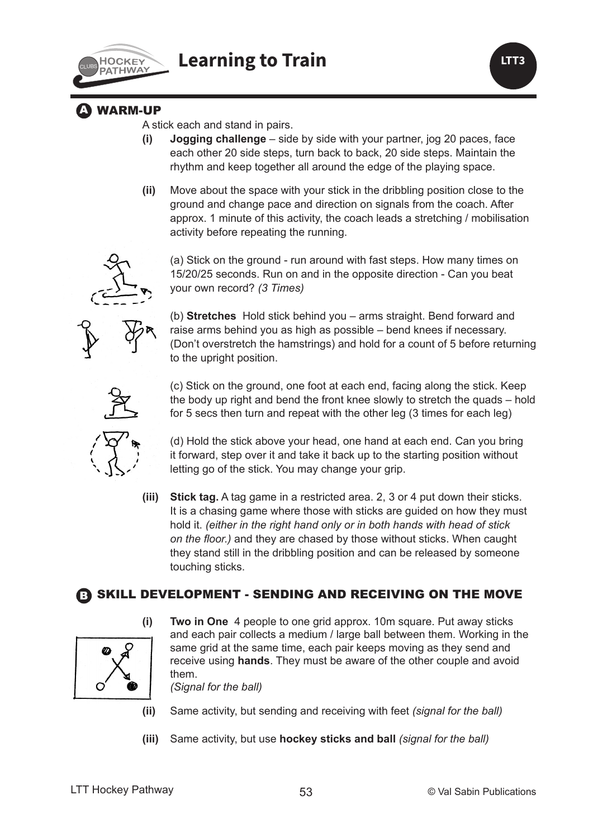

**LTT3**

### **A WARM-UP**

A stick each and stand in pairs.

- **(i) Jogging challenge** side by side with your partner, jog 20 paces, face each other 20 side steps, turn back to back, 20 side steps. Maintain the rhythm and keep together all around the edge of the playing space.
- **(ii)** Move about the space with your stick in the dribbling position close to the ground and change pace and direction on signals from the coach. After approx. 1 minute of this activity, the coach leads a stretching / mobilisation activity before repeating the running.



(a) Stick on the ground - run around with fast steps. How many times on 15/20/25 seconds. Run on and in the opposite direction - Can you beat your own record? *(3 Times)*



(b) **Stretches**Hold stick behind you – arms straight. Bend forward and raise arms behind you as high as possible – bend knees if necessary. (Don't overstretch the hamstrings) and hold for a count of 5 before returning to the upright position.





(d) Hold the stick above your head, one hand at each end. Can you bring it forward, step over it and take it back up to the starting position without letting go of the stick. You may change your grip.

**(iii) Stick tag.** A tag game in a restricted area. 2, 3 or 4 put down their sticks. It is a chasing game where those with sticks are guided on how they must hold it. *(either in the right hand only or in both hands with head of stick on the floor.)* and they are chased by those without sticks. When caught they stand still in the dribbling position and can be released by someone touching sticks.

### B SKILL DEVELOPMENT - SENDING AND RECEIVING ON THE MOVE



**(i) Two in One**4 people to one grid approx. 10m square. Put away sticks and each pair collects a medium / large ball between them. Working in the same grid at the same time, each pair keeps moving as they send and receive using **hands**. They must be aware of the other couple and avoid them.

*(Signal for the ball)*

**(ii)** Same activity, but sending and receiving with feet *(signal for the ball)*

**(iii)** Same activity, but use **hockey sticks and ball** *(signal for the ball)*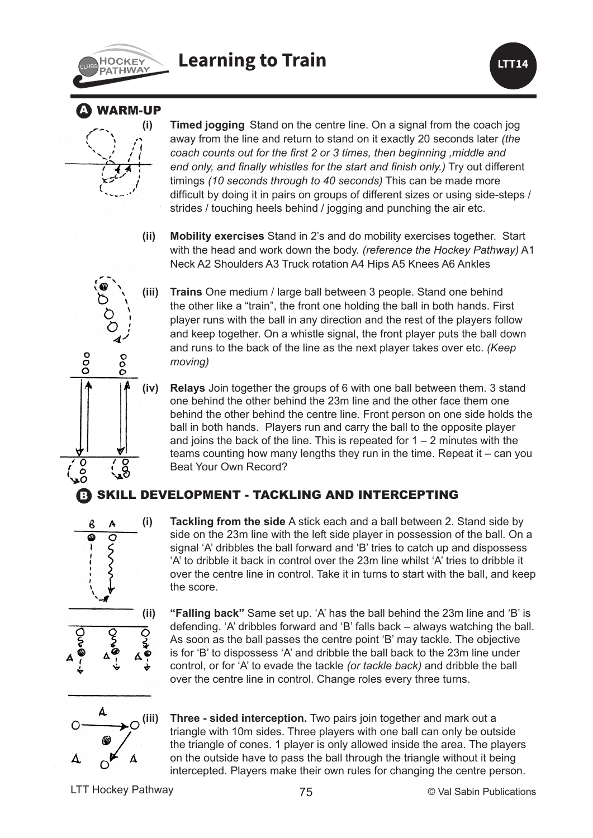



### **WARM-UP**



**(i) Timed jogging** Stand on the centre line. On a signal from the coach jog away from the line and return to stand on it exactly 20 seconds later *(the coach counts out for the first 2 or 3 times, then beginning ,middle and end only, and finally whistles for the start and finish only.)* Try out different timings *(10 seconds through to 40 seconds)* This can be made more difficult by doing it in pairs on groups of different sizes or using side-steps / strides / touching heels behind / jogging and punching the air etc.

**(ii) Mobility exercises** Stand in 2's and do mobility exercises together. Start with the head and work down the body. *(reference the Hockey Pathway)* A1 Neck A2 Shoulders A3 Truck rotation A4 Hips A5 Knees A6 Ankles

**(iii) Trains** One medium / large ball between 3 people. Stand one behind the other like a "train", the front one holding the ball in both hands. First player runs with the ball in any direction and the rest of the players follow and keep together. On a whistle signal, the front player puts the ball down and runs to the back of the line as the next player takes over etc. *(Keep moving)*

**(iv) Relays** Join together the groups of 6 with one ball between them. 3 stand one behind the other behind the 23m line and the other face them one behind the other behind the centre line. Front person on one side holds the ball in both hands. Players run and carry the ball to the opposite player and joins the back of the line. This is repeated for  $1 - 2$  minutes with the teams counting how many lengths they run in the time. Repeat it – can you Beat Your Own Record?

### SKILL DEVELOPMENT - TACKLING AND INTERCEPTING



ooo

 $\begin{smallmatrix}0&&0\&0\0&&0\end{smallmatrix}$ 

**(i) Tackling from the side** A stick each and a ball between 2. Stand side by side on the 23m line with the left side player in possession of the ball. On a signal 'A' dribbles the ball forward and 'B' tries to catch up and dispossess 'A' to dribble it back in control over the 23m line whilst 'A' tries to dribble it over the centre line in control. Take it in turns to start with the ball, and keep the score.



**(ii) "Falling back"** Same set up. 'A' has the ball behind the 23m line and 'B' is defending. 'A' dribbles forward and 'B' falls back – always watching the ball. As soon as the ball passes the centre point 'B' may tackle. The objective is for 'B' to dispossess 'A' and dribble the ball back to the 23m line under control, or for 'A' to evade the tackle *(or tackle back)* and dribble the ball over the centre line in control. Change roles every three turns.



**(iii) Three - sided interception.** Two pairs join together and mark out a triangle with 10m sides. Three players with one ball can only be outside the triangle of cones. 1 player is only allowed inside the area. The players on the outside have to pass the ball through the triangle without it being intercepted. Players make their own rules for changing the centre person.

LTT Hockey Pathway 25 The Contract of Table 2015 and Contract Orbital Contract Orbital Contract Orbital Contract Orbital Contract Orbital Contract Orbital Contract Orbital Contract Orbital Contract Orbital Contract Orbital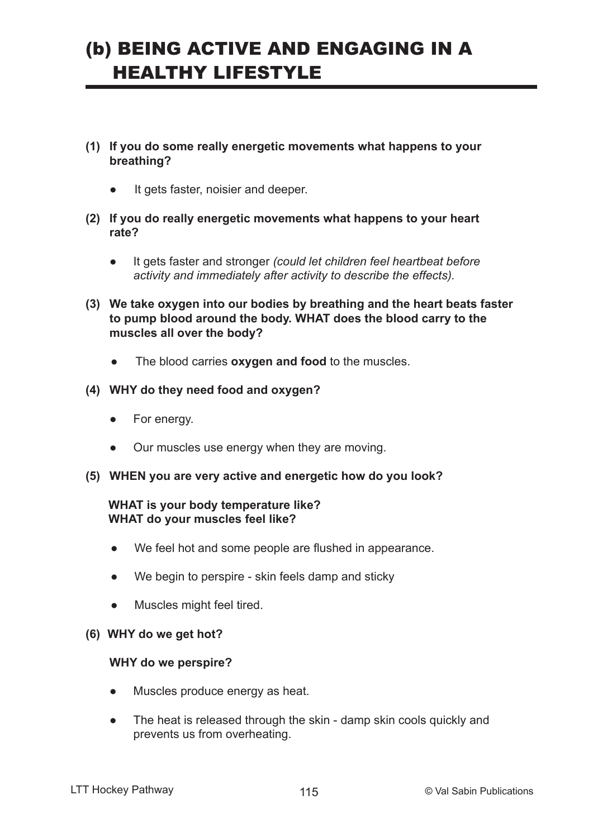# (b) BEING ACTIVE AND ENGAGING IN A HEALTHY LIFESTYLE

- **(1) If you do some really energetic movements what happens to your breathing?**
	- It gets faster, noisier and deeper.
- **(2) If you do really energetic movements what happens to your heart rate?**
	- It gets faster and stronger *(could let children feel heartbeat before activity and immediately after activity to describe the effects).*
- **(3) We take oxygen into our bodies by breathing and the heart beats faster to pump blood around the body. WHAT does the blood carry to the muscles all over the body?**
	- The blood carries **oxygen and food** to the muscles.
- **(4) WHY do they need food and oxygen?**
	- For energy.
	- Our muscles use energy when they are moving.
- **(5) WHEN you are very active and energetic how do you look?**

#### **WHAT is your body temperature like? WHAT do your muscles feel like?**

- ● We feel hot and some people are flushed in appearance.
- We begin to perspire skin feels damp and sticky
- Muscles might feel tired.

#### **(6) WHY do we get hot?**

#### **WHY do we perspire?**

- Muscles produce energy as heat.
- The heat is released through the skin damp skin cools quickly and prevents us from overheating.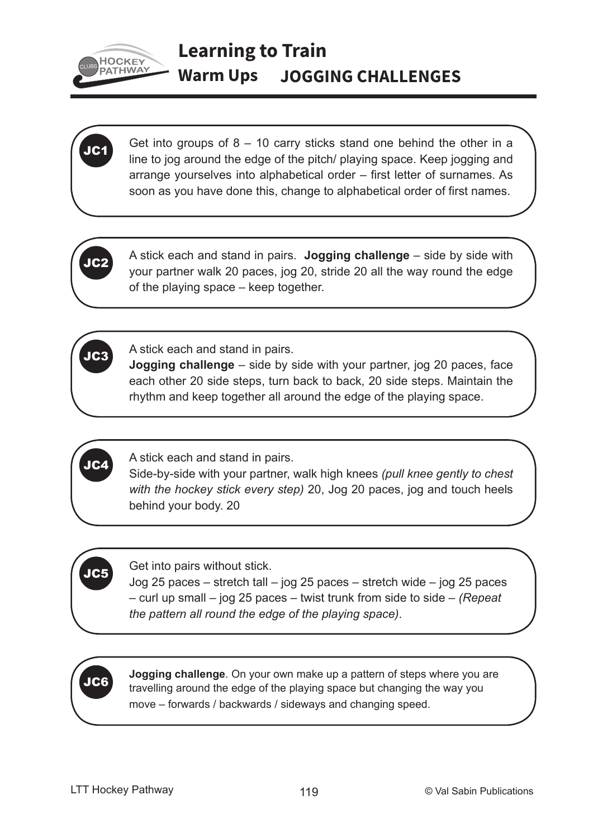

# **Learning to Train Warm Ups JOGGING CHALLENGES**

Get into groups of  $8 - 10$  carry sticks stand one behind the other in a line to jog around the edge of the pitch/ playing space. Keep jogging and arrange yourselves into alphabetical order – first letter of surnames. As soon as you have done this, change to alphabetical order of first names.

JC2

JC3

JC4

JC5

JC6

A stick each and stand in pairs. **Jogging challenge** – side by side with your partner walk 20 paces, jog 20, stride 20 all the way round the edge of the playing space – keep together.

A stick each and stand in pairs.

**Jogging challenge** – side by side with your partner, jog 20 paces, face each other 20 side steps, turn back to back, 20 side steps. Maintain the rhythm and keep together all around the edge of the playing space.

A stick each and stand in pairs.

Side-by-side with your partner, walk high knees *(pull knee gently to chest with the hockey stick every step)* 20, Jog 20 paces, jog and touch heels behind your body. 20

Get into pairs without stick.

Jog 25 paces – stretch tall – jog 25 paces – stretch wide – jog 25 paces – curl up small – jog 25 paces – twist trunk from side to side – *(Repeat the pattern all round the edge of the playing space)*.

**Jogging challenge**. On your own make up a pattern of steps where you are travelling around the edge of the playing space but changing the way you move – forwards / backwards / sideways and changing speed.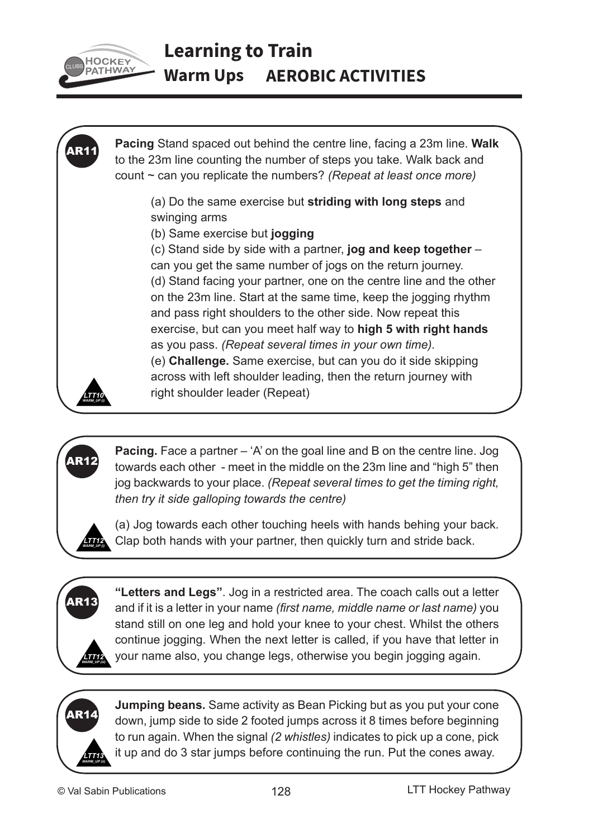

# **Learning to Train Warm Ups AEROBIC ACTIVITIES**



**Pacing.** Face a partner – 'A' on the goal line and B on the centre line. Jog towards each other - meet in the middle on the 23m line and "high 5" then jog backwards to your place. *(Repeat several times to get the timing right, then try it side galloping towards the centre)*



AR12

(a) Jog towards each other touching heels with hands behing your back. Clap both hands with your partner, then quickly turn and stride back.



**"Letters and Legs"**. Jog in a restricted area. The coach calls out a letter and if it is a letter in your name *(first name, middle name or last name)* you stand still on one leg and hold your knee to your chest. Whilst the others continue jogging. When the next letter is called, if you have that letter in your name also, you change legs, otherwise you begin jogging again.



**Jumping beans.** Same activity as Bean Picking but as you put your cone down, jump side to side 2 footed jumps across it 8 times before beginning to run again. When the signal *(2 whistles)* indicates to pick up a cone, pick it up and do 3 star jumps before continuing the run. Put the cones away.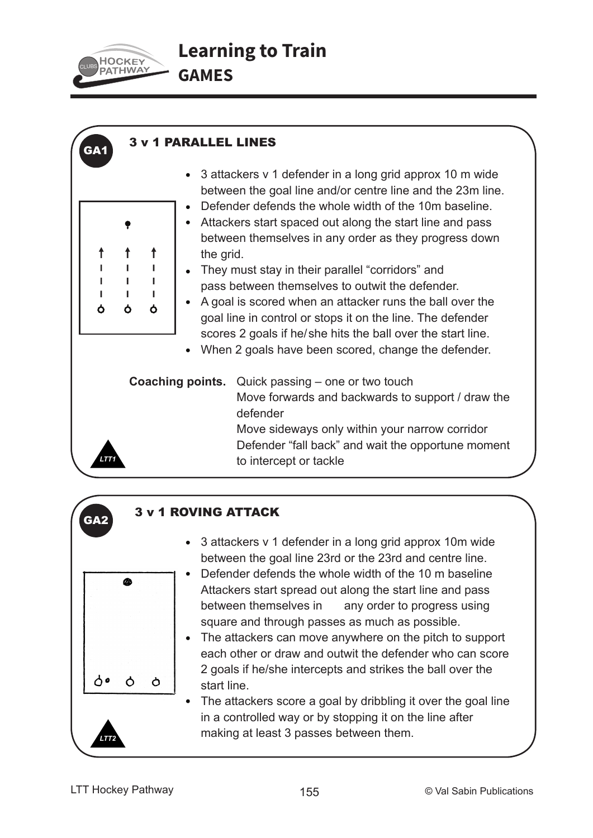

GA<sup>.</sup>

↑  $\mathbf{I}$  $\mathbf{I}$  $\blacksquare$ Ò

### 3 v 1 PARALLEL LINES

- 3 attackers v 1 defender in a long grid approx 10 m wide between the goal line and/or centre line and the 23m line.
- Defender defends the whole width of the 10m baseline.
- Attackers start spaced out along the start line and pass between themselves in any order as they progress down **t t** ine grid.
- $T = \begin{bmatrix} 1 & 1 \\ 1 & 1 \end{bmatrix}$  They must stay in their parallel "corridors" and  $\begin{bmatrix} 1 & 1 \\ 1 & 1 \end{bmatrix}$  pass between themselves to outwit the defender.
- $\begin{array}{c} \mathbf{A} \\ \mathbf{B} \end{array}$   $\begin{array}{c} \bullet \\ \bullet \end{array}$  A goal is scored when an attacker runs the ball over the goal line in control or stops it on the line. The defender scores 2 goals if he/she hits the ball over the start line.
	- When 2 goals have been scored, change the defender.

**Coaching points.** Quick passing – one or two touch Move forwards and backwards to support / draw the defender Move sideways only within your narrow corridor Defender "fall back" and wait the opportune moment to intercept or tackle



*LTT1*

### 3 v 1 ROVING ATTACK

- 3 attackers v 1 defender in a long grid approx 10m wide between the goal line 23rd or the 23rd and centre line.
- Defender defends the whole width of the 10 m baseline Attackers start spread out along the start line and pass between themselves in any order to progress using square and through passes as much as possible.
- The attackers can move anywhere on the pitch to support each other or draw and outwit the defender who can score 2 goals if he/she intercepts and strikes the ball over the  $\phi$  start line.
	- The attackers score a goal by dribbling it over the goal line in a controlled way or by stopping it on the line after making at least 3 passes between them.

*LTT2*

ለ•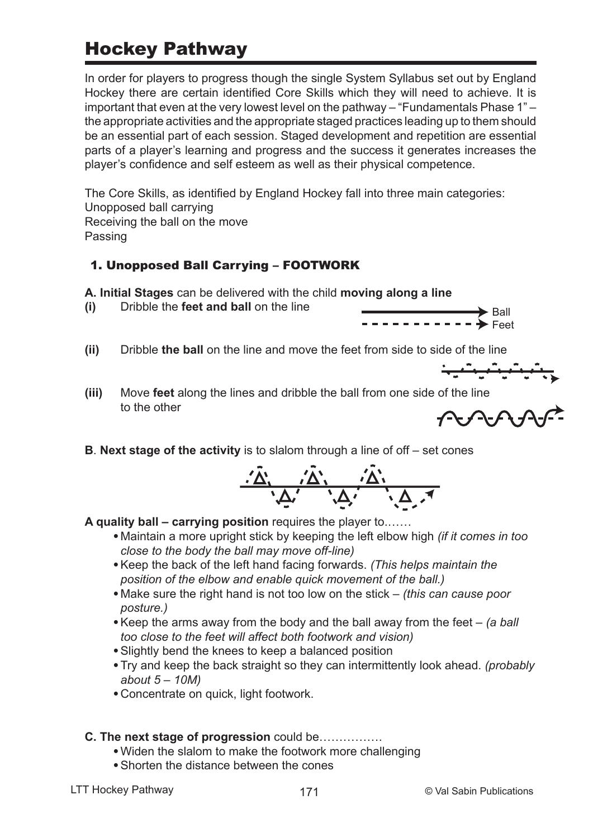# Hockey Pathway

In order for players to progress though the single System Syllabus set out by England Hockey there are certain identified Core Skills which they will need to achieve. It is important that even at the very lowest level on the pathway – "Fundamentals Phase 1" – the appropriate activities and the appropriate staged practices leading up to them should be an essential part of each session. Staged development and repetition are essential parts of a player's learning and progress and the success it generates increases the player's confidence and self esteem as well as their physical competence.

The Core Skills, as identified by England Hockey fall into three main categories: Unopposed ball carrying Receiving the ball on the move Passing

### 1. Unopposed Ball Carrying – FOOTWORK

**A. Initial Stages** can be delivered with the child **moving along a line**

**(i)** Dribble the **feet and ball** on the line



**(iii)** Move **feet** along the lines and dribble the ball from one side of the line to the other



 $\frac{1}{\sqrt{2}}\frac{1}{\sqrt{2}}\frac{1}{\sqrt{2}}\frac{1}{\sqrt{2}}\frac{1}{\sqrt{2}}\frac{1}{\sqrt{2}}\frac{1}{\sqrt{2}}\frac{1}{\sqrt{2}}\frac{1}{\sqrt{2}}\frac{1}{\sqrt{2}}\frac{1}{\sqrt{2}}\frac{1}{\sqrt{2}}\frac{1}{\sqrt{2}}\frac{1}{\sqrt{2}}\frac{1}{\sqrt{2}}\frac{1}{\sqrt{2}}\frac{1}{\sqrt{2}}\frac{1}{\sqrt{2}}\frac{1}{\sqrt{2}}\frac{1}{\sqrt{2}}\frac{1}{\sqrt{2}}\frac{1}{\sqrt{2}}$ 

Ball Feet

**B**. **Next stage of the activity** is to slalom through a line of off – set cones



**A quality ball – carrying position** requires the player to.……

- •Maintain a more upright stick by keeping the left elbow high *(if it comes in too close to the body the ball may move off-line)*
- •Keep the back of the left hand facing forwards. *(This helps maintain the position of the elbow and enable quick movement of the ball.)*
- •Make sure the right hand is not too low on the stick *(this can cause poor posture.)*
- •Keep the arms away from the body and the ball away from the feet *(a ball too close to the feet will affect both footwork and vision)*
- •Slightly bend the knees to keep a balanced position
- •Try and keep the back straight so they can intermittently look ahead. *(probably about 5 – 10M)*
- •Concentrate on quick, light footwork.

### **C. The next stage of progression** could be…………….

- •Widen the slalom to make the footwork more challenging
- •Shorten the distance between the cones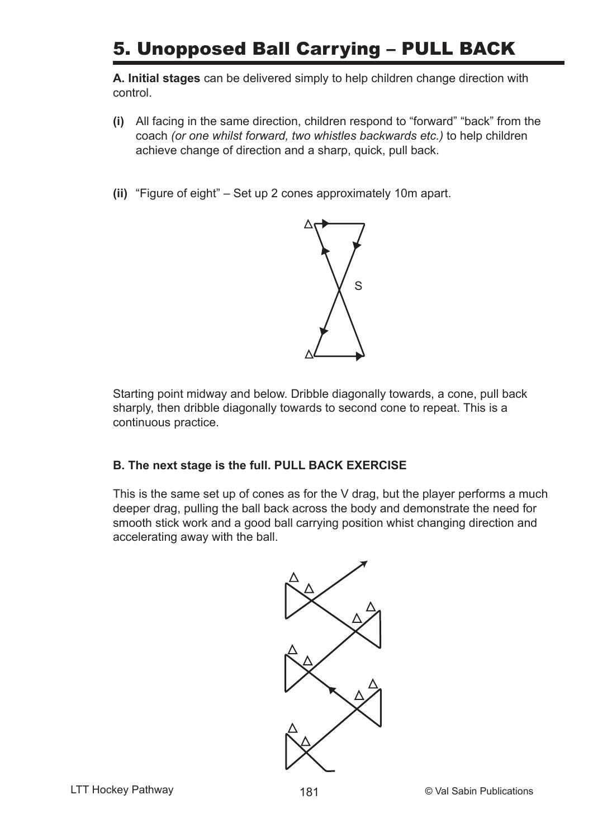# 5. Unopposed Ball Carrying – PULL BACK

**A. Initial stages** can be delivered simply to help children change direction with control.

- **(i)** All facing in the same direction, children respond to "forward" "back" from the coach *(or one whilst forward, two whistles backwards etc.)* to help children achieve change of direction and a sharp, quick, pull back.
- **(ii)** "Figure of eight" Set up 2 cones approximately 10m apart.



Starting point midway and below. Dribble diagonally towards, a cone, pull back sharply, then dribble diagonally towards to second cone to repeat. This is a continuous practice.

### **B. The next stage is the full. PULL BACK EXERCISE**

This is the same set up of cones as for the V drag, but the player performs a much deeper drag, pulling the ball back across the body and demonstrate the need for smooth stick work and a good ball carrying position whist changing direction and accelerating away with the ball.